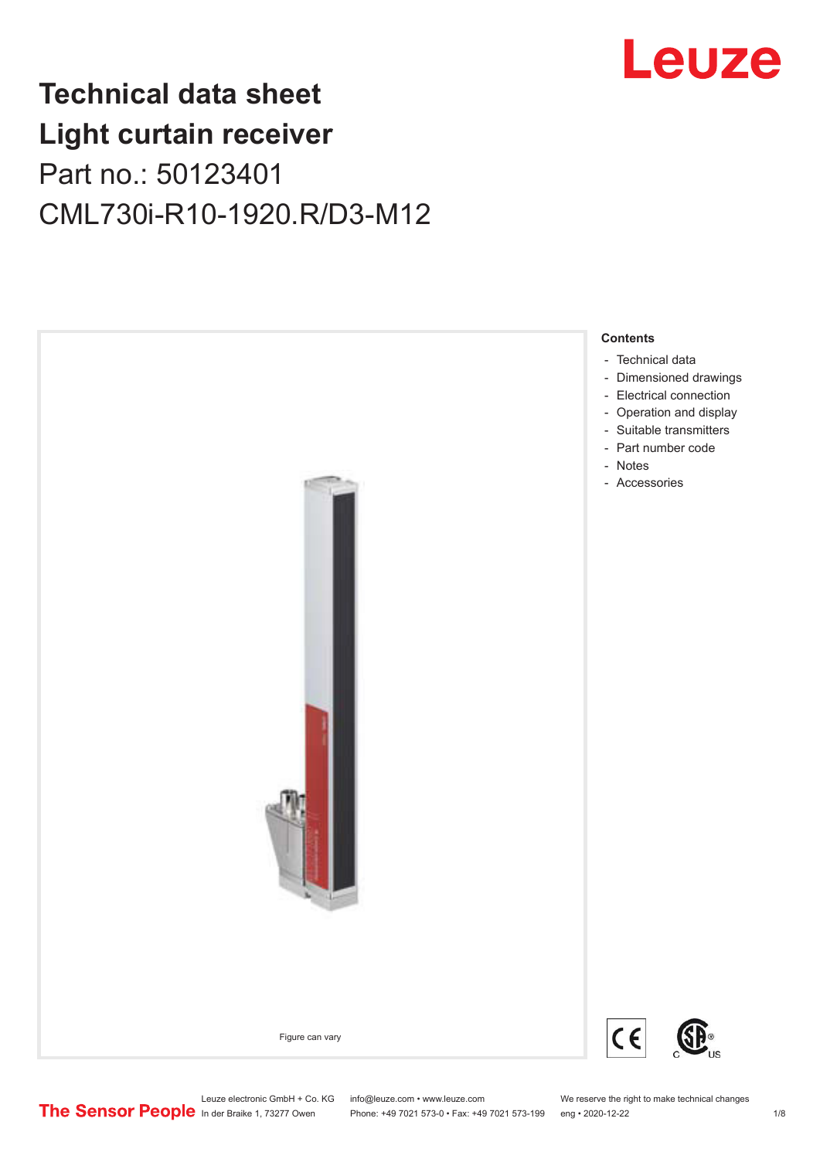

# **Technical data sheet Light curtain receiver** Part no.: 50123401 CML730i-R10-1920.R/D3-M12



Leuze electronic GmbH + Co. KG info@leuze.com • www.leuze.com We reserve the right to make technical changes<br>
The Sensor People in der Braike 1, 73277 Owen Phone: +49 7021 573-0 • Fax: +49 7021 573-199 eng • 2020-12-22

Phone: +49 7021 573-0 • Fax: +49 7021 573-199 eng • 2020-12-22 1 2020-12-20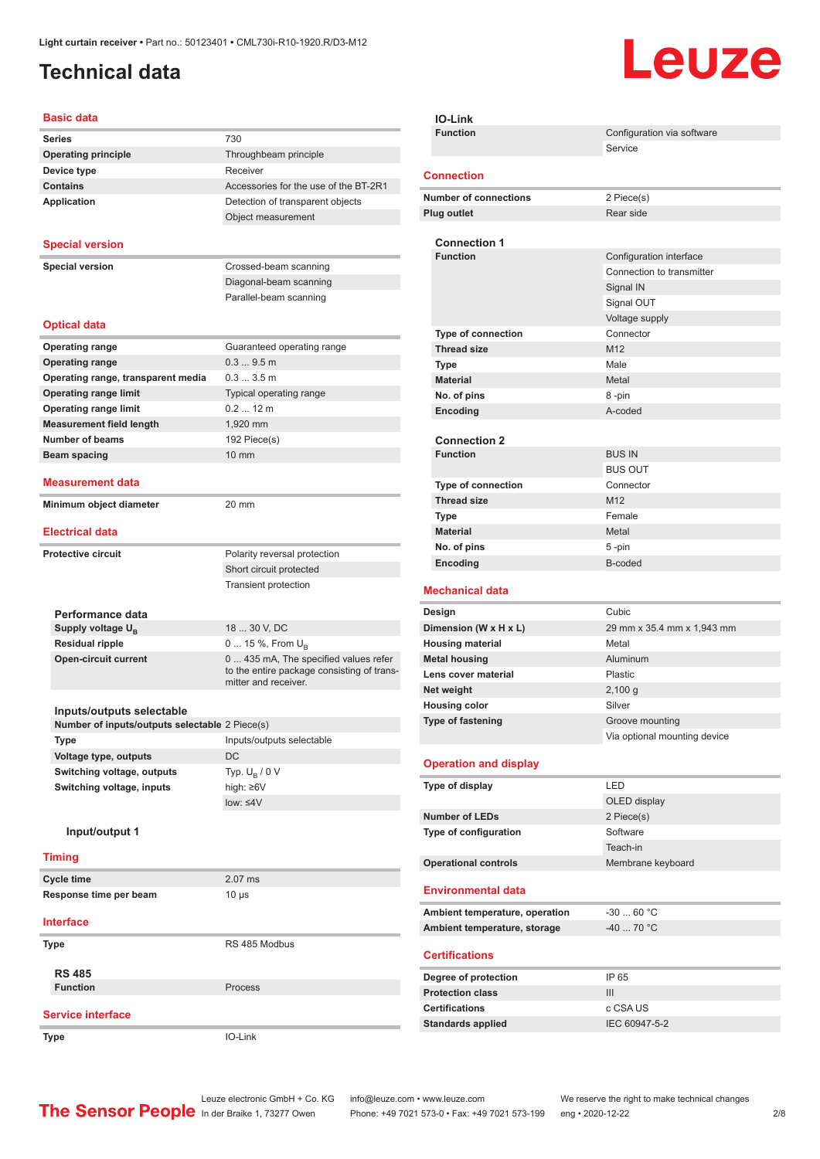### <span id="page-1-0"></span>**Technical data**

# Leuze

| <b>Basic data</b>                                                           |                                                                    |
|-----------------------------------------------------------------------------|--------------------------------------------------------------------|
| <b>Series</b>                                                               | 730                                                                |
| <b>Operating principle</b>                                                  | Throughbeam principle                                              |
| Device type                                                                 | Receiver                                                           |
| <b>Contains</b>                                                             | Accessories for the use of the BT-2R1                              |
| <b>Application</b>                                                          | Detection of transparent objects                                   |
|                                                                             | Object measurement                                                 |
| <b>Special version</b>                                                      |                                                                    |
|                                                                             |                                                                    |
| <b>Special version</b>                                                      | Crossed-beam scanning                                              |
|                                                                             | Diagonal-beam scanning<br>Parallel-beam scanning                   |
|                                                                             |                                                                    |
| <b>Optical data</b>                                                         |                                                                    |
| <b>Operating range</b>                                                      | Guaranteed operating range                                         |
| <b>Operating range</b>                                                      | 0.39.5m                                                            |
| Operating range, transparent media                                          | 0.33.5m                                                            |
| <b>Operating range limit</b>                                                | Typical operating range                                            |
| <b>Operating range limit</b>                                                | $0.212$ m                                                          |
| <b>Measurement field length</b>                                             | 1,920 mm                                                           |
| <b>Number of beams</b>                                                      | 192 Piece(s)                                                       |
| <b>Beam spacing</b>                                                         | $10 \text{ mm}$                                                    |
| <b>Measurement data</b>                                                     |                                                                    |
| Minimum object diameter                                                     | 20 mm                                                              |
|                                                                             |                                                                    |
| <b>Electrical data</b>                                                      |                                                                    |
| <b>Protective circuit</b>                                                   | Polarity reversal protection                                       |
|                                                                             | Short circuit protected                                            |
|                                                                             | <b>Transient protection</b>                                        |
|                                                                             |                                                                    |
| Performance data                                                            |                                                                    |
| Supply voltage U <sub>B</sub>                                               | 18  30 V, DC                                                       |
| <b>Residual ripple</b><br><b>Open-circuit current</b>                       | 0  15 %, From $U_{\rm B}$<br>0  435 mA, The specified values refer |
|                                                                             | to the entire package consisting of trans-                         |
|                                                                             | mitter and receiver.                                               |
|                                                                             |                                                                    |
| Inputs/outputs selectable<br>Number of inputs/outputs selectable 2 Piece(s) |                                                                    |
| <b>Type</b>                                                                 | Inputs/outputs selectable                                          |
| Voltage type, outputs                                                       | DC                                                                 |
| Switching voltage, outputs                                                  | Typ. $U_B / 0 V$                                                   |
| Switching voltage, inputs                                                   | high: ≥6V                                                          |
|                                                                             | $low: 4V$                                                          |
|                                                                             |                                                                    |
| Input/output 1                                                              |                                                                    |
| <b>Timing</b>                                                               |                                                                    |
| <b>Cycle time</b>                                                           | 2.07 ms                                                            |
| Response time per beam                                                      | $10 \mu s$                                                         |
| <b>Interface</b>                                                            |                                                                    |
| Type                                                                        | RS 485 Modbus                                                      |
|                                                                             |                                                                    |
| <b>RS 485</b>                                                               |                                                                    |
| <b>Function</b>                                                             | Process                                                            |
| <b>Service interface</b>                                                    |                                                                    |
| <b>Type</b>                                                                 | IO-Link                                                            |
|                                                                             |                                                                    |

| <b>IO-Link</b>                         |                              |
|----------------------------------------|------------------------------|
| <b>Function</b>                        | Configuration via software   |
|                                        | Service                      |
| <b>Connection</b>                      |                              |
| <b>Number of connections</b>           | 2 Piece(s)                   |
| <b>Plug outlet</b>                     | Rear side                    |
|                                        |                              |
| <b>Connection 1</b><br><b>Function</b> | Configuration interface      |
|                                        | Connection to transmitter    |
|                                        | Signal IN                    |
|                                        | Signal OUT                   |
|                                        | Voltage supply               |
| <b>Type of connection</b>              | Connector                    |
| <b>Thread size</b>                     | M <sub>12</sub>              |
| Type                                   | Male                         |
| <b>Material</b>                        | Metal                        |
| No. of pins                            | 8-pin                        |
| <b>Encoding</b>                        | A-coded                      |
| <b>Connection 2</b>                    |                              |
| <b>Function</b>                        | <b>BUS IN</b>                |
|                                        | <b>BUS OUT</b>               |
| <b>Type of connection</b>              | Connector                    |
| <b>Thread size</b>                     | M12                          |
| <b>Type</b>                            | Female                       |
| <b>Material</b>                        | Metal                        |
| No. of pins                            | 5-pin                        |
| Encoding                               | B-coded                      |
|                                        |                              |
| <b>Mechanical data</b>                 |                              |
| Design                                 | Cubic                        |
| Dimension (W x H x L)                  | 29 mm x 35.4 mm x 1,943 mm   |
| <b>Housing material</b>                | Metal                        |
| <b>Metal housing</b>                   | Aluminum                     |
| Lens cover material                    | Plastic                      |
| Net weight                             | 2,100 g                      |
| <b>Housing color</b>                   | Silver                       |
| Type of fastening                      | Groove mounting              |
|                                        | Via optional mounting device |
| <b>Operation and display</b>           |                              |
|                                        | LED                          |
| Type of display                        |                              |
| <b>Number of LEDs</b>                  | OLED display<br>2 Piece(s)   |
| Type of configuration                  | Software                     |
|                                        | Teach-in                     |
| <b>Operational controls</b>            | Membrane keyboard            |
| <b>Environmental data</b>              |                              |
|                                        |                              |
| Ambient temperature, operation         | $-3060 °C$                   |
| Ambient temperature, storage           | -40  70 °C                   |
| <b>Certifications</b>                  |                              |
| Degree of protection                   | IP 65                        |
| <b>Protection class</b>                | III                          |
| <b>Certifications</b>                  | c CSA US                     |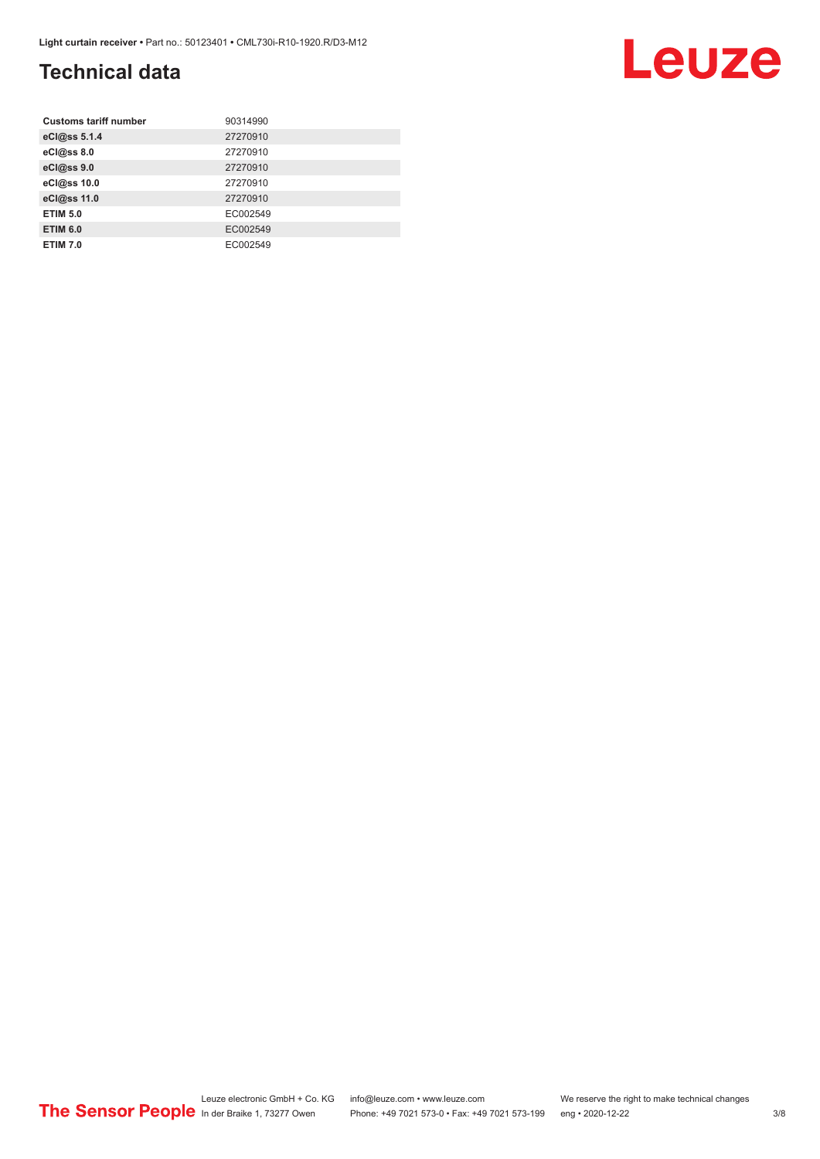### **Technical data**

| <b>Customs tariff number</b> | 90314990 |
|------------------------------|----------|
| eCl@ss 5.1.4                 | 27270910 |
| eCl@ss 8.0                   | 27270910 |
| eCl@ss 9.0                   | 27270910 |
| eCl@ss 10.0                  | 27270910 |
| eCl@ss 11.0                  | 27270910 |
| <b>ETIM 5.0</b>              | EC002549 |
| <b>ETIM 6.0</b>              | EC002549 |
| <b>ETIM 7.0</b>              | EC002549 |

#### Leuze electronic GmbH + Co. KG info@leuze.com • www.leuze.com We reserve the right to make technical changes ln der Braike 1, 73277 Owen Phone: +49 7021 573-0 • Fax: +49 7021 573-199 eng • 2020-12-22 3/8

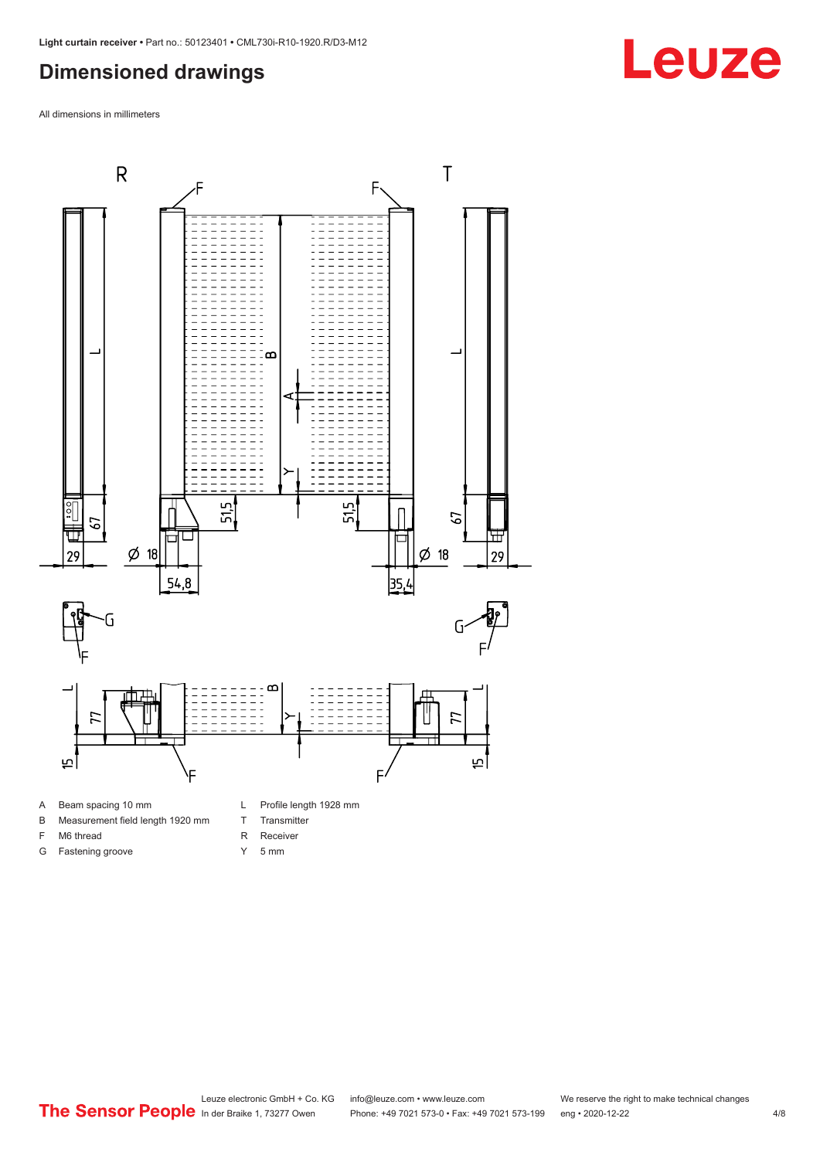#### <span id="page-3-0"></span>**Dimensioned drawings**

All dimensions in millimeters



- 
- B Measurement field length 1920 mm
- F M6 thread
- G Fastening groove
- T Transmitter R Receiver
- Y 5 mm

Leuze electronic GmbH + Co. KG info@leuze.com • www.leuze.com We reserve the right to make technical changes<br>
The Sensor People in der Braike 1, 73277 Owen Phone: +49 7021 573-0 • Fax: +49 7021 573-199 eng • 2020-12-22

# **Leuze**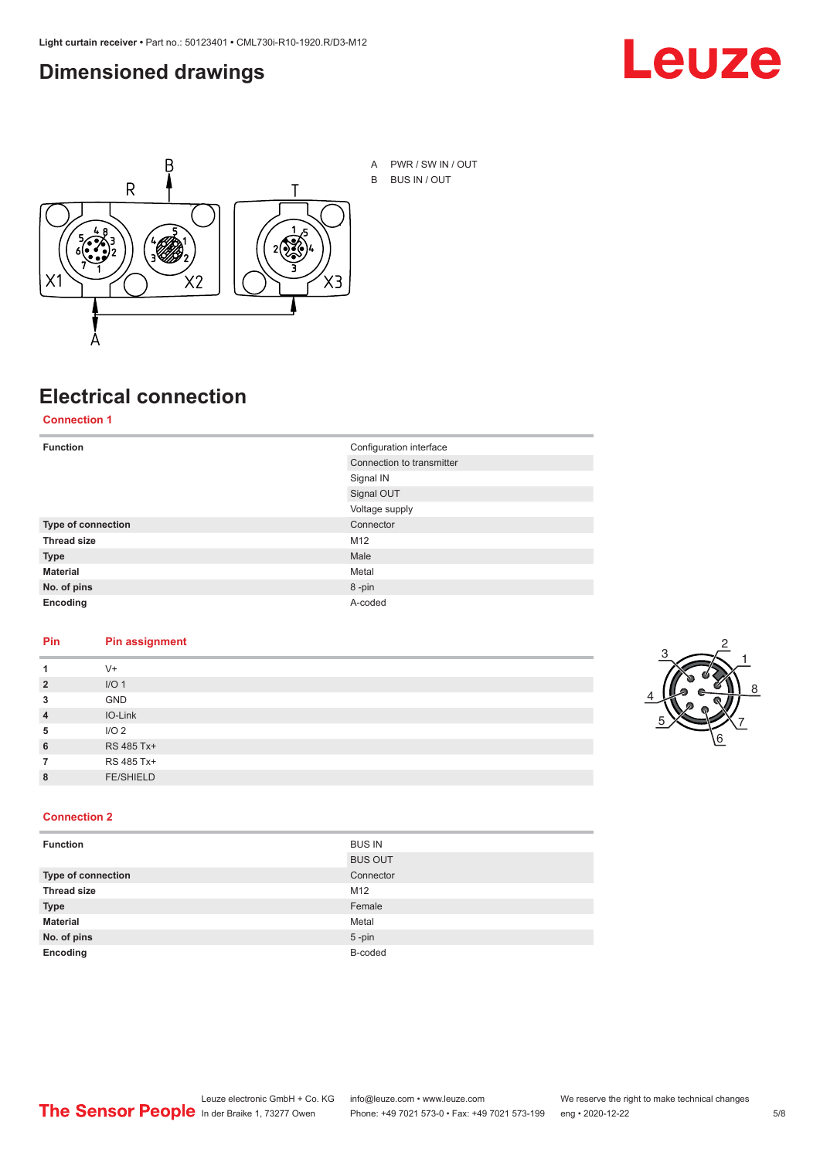#### <span id="page-4-0"></span>**Dimensioned drawings**





## **Electrical connection**

**Connection 1**

| <b>Function</b>    | Configuration interface   |
|--------------------|---------------------------|
|                    | Connection to transmitter |
|                    | Signal IN                 |
|                    | Signal OUT                |
|                    | Voltage supply            |
| Type of connection | Connector                 |
| <b>Thread size</b> | M12                       |
| <b>Type</b>        | Male                      |
| <b>Material</b>    | Metal                     |
| No. of pins        | 8-pin                     |
| Encoding           | A-coded                   |

#### **Pin Pin assignment**

| 1              | $V +$            |  |  |
|----------------|------------------|--|--|
| $\overline{2}$ | I/O <sub>1</sub> |  |  |
| 3              | <b>GND</b>       |  |  |
| $\overline{4}$ | IO-Link          |  |  |
| 5              | I/O <sub>2</sub> |  |  |
| 6              | RS 485 Tx+       |  |  |
| 7              | RS 485 Tx+       |  |  |
| 8              | <b>FE/SHIELD</b> |  |  |
|                |                  |  |  |



#### **Connection 2**

| <b>Function</b>    | <b>BUS IN</b>  |
|--------------------|----------------|
|                    | <b>BUS OUT</b> |
| Type of connection | Connector      |
| <b>Thread size</b> | M12            |
| <b>Type</b>        | Female         |
| <b>Material</b>    | Metal          |
| No. of pins        | $5$ -pin       |
| Encoding           | B-coded        |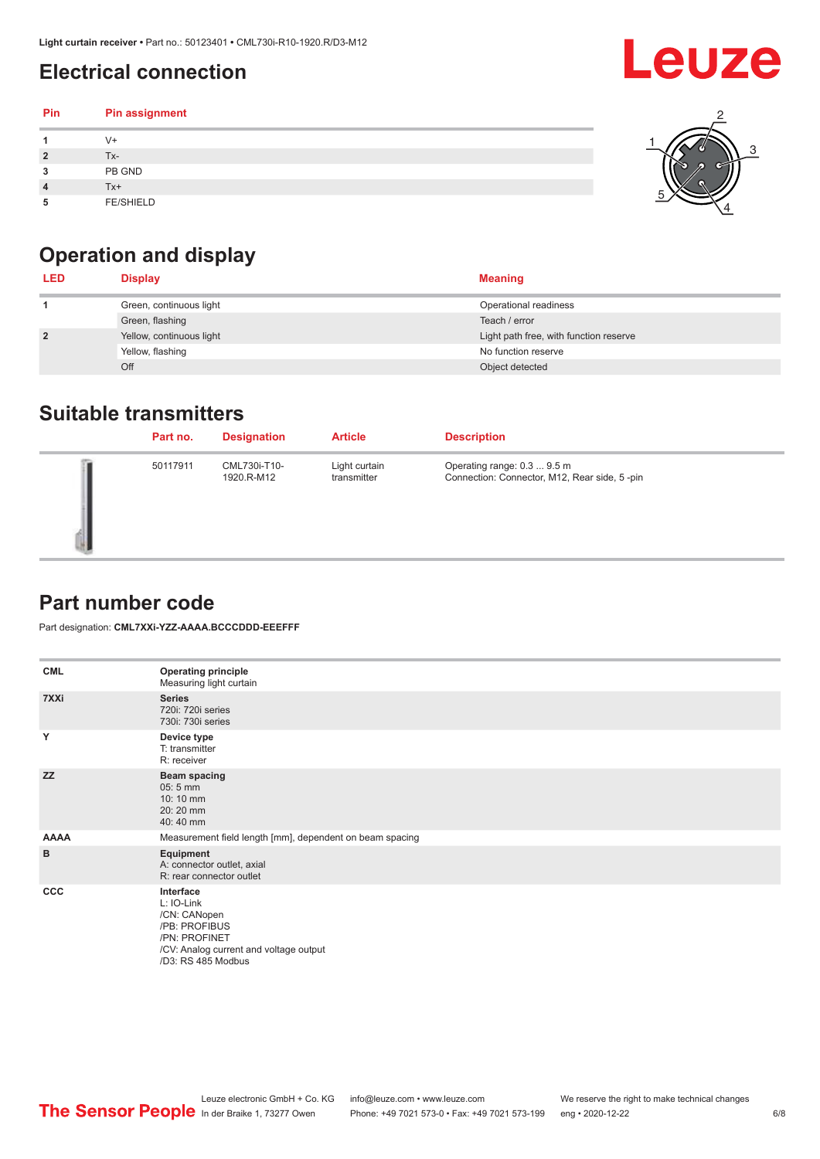### <span id="page-5-0"></span>**Electrical connection**

| Pin | Pin assignment   |  |
|-----|------------------|--|
|     | $V +$            |  |
| 2   | Tx-              |  |
| 3   | PB GND           |  |
|     | $Tx+$            |  |
| 5   | <b>FE/SHIELD</b> |  |

### **Operation and display**

| <b>LED</b>     | <b>Display</b>           | <b>Meaning</b>                         |
|----------------|--------------------------|----------------------------------------|
|                | Green, continuous light  | Operational readiness                  |
|                | Green, flashing          | Teach / error                          |
| $\overline{2}$ | Yellow, continuous light | Light path free, with function reserve |
|                | Yellow, flashing         | No function reserve                    |
|                | Off                      | Object detected                        |

#### **Suitable transmitters**

| Part no. | <b>Designation</b>         | <b>Article</b>               | <b>Description</b>                                                          |
|----------|----------------------------|------------------------------|-----------------------------------------------------------------------------|
| 50117911 | CML730i-T10-<br>1920.R-M12 | Light curtain<br>transmitter | Operating range: 0.3  9.5 m<br>Connection: Connector, M12, Rear side, 5-pin |

#### **Part number code**

Part designation: **CML7XXi-YZZ-AAAA.BCCCDDD-EEEFFF**

| <b>CML</b>  | <b>Operating principle</b><br>Measuring light curtain                                                                                     |
|-------------|-------------------------------------------------------------------------------------------------------------------------------------------|
| 7XXi        | <b>Series</b><br>720i: 720i series<br>730i: 730i series                                                                                   |
| Y           | Device type<br>T: transmitter<br>R: receiver                                                                                              |
| <b>ZZ</b>   | <b>Beam spacing</b><br>$05:5$ mm<br>10:10 mm<br>20:20 mm<br>40:40 mm                                                                      |
| <b>AAAA</b> | Measurement field length [mm], dependent on beam spacing                                                                                  |
| B           | Equipment<br>A: connector outlet, axial<br>R: rear connector outlet                                                                       |
| <b>CCC</b>  | Interface<br>L: IO-Link<br>/CN: CANopen<br>/PB: PROFIBUS<br>/PN: PROFINET<br>/CV: Analog current and voltage output<br>/D3: RS 485 Modbus |

**Leuze**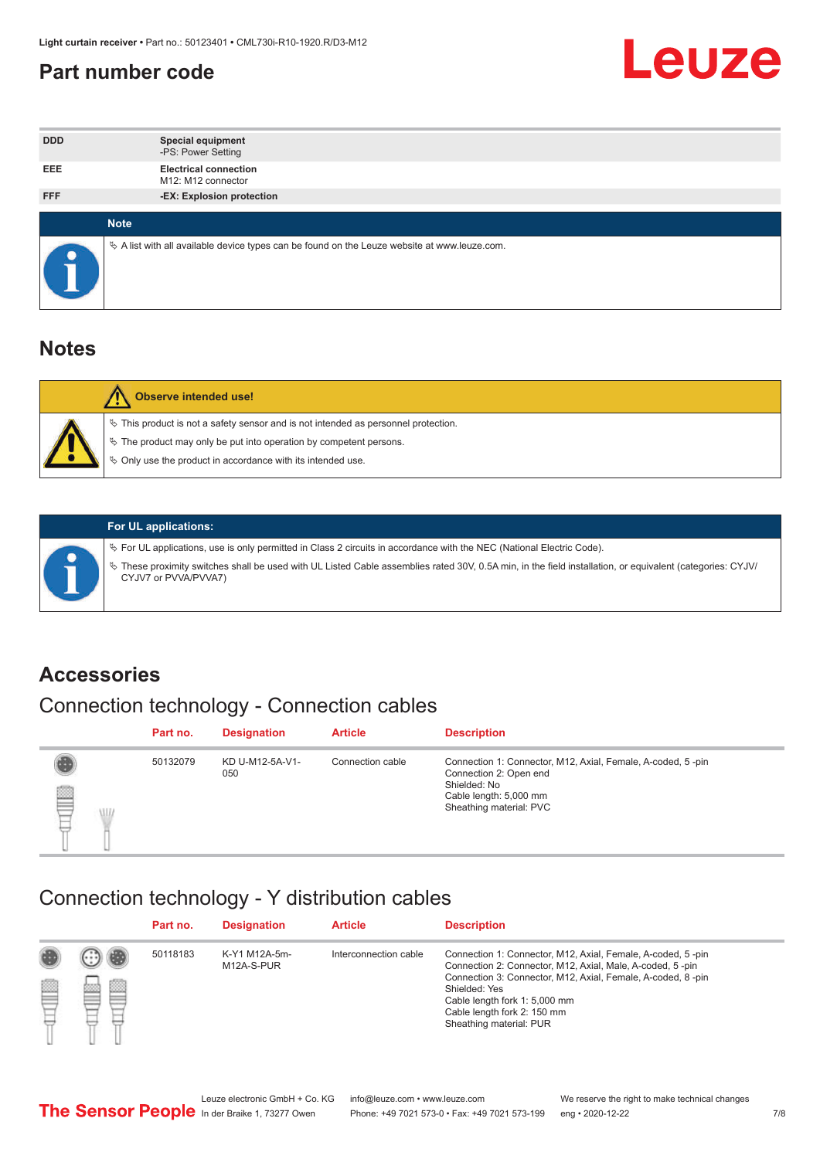#### <span id="page-6-0"></span>**Part number code**



| <b>DDD</b> | <b>Special equipment</b><br>-PS: Power Setting                                                  |
|------------|-------------------------------------------------------------------------------------------------|
| <b>EEE</b> | <b>Electrical connection</b><br>M12: M12 connector                                              |
| <b>FFF</b> | -EX: Explosion protection                                                                       |
|            |                                                                                                 |
|            | <b>Note</b>                                                                                     |
|            | $\&$ A list with all available device types can be found on the Leuze website at www.leuze.com. |

#### **Notes**

| Observe intended use!                                                                                                                                                                                                            |
|----------------------------------------------------------------------------------------------------------------------------------------------------------------------------------------------------------------------------------|
| $\%$ This product is not a safety sensor and is not intended as personnel protection.<br>$\%$ The product may only be put into operation by competent persons.<br>$\%$ Only use the product in accordance with its intended use. |
|                                                                                                                                                                                                                                  |



#### **For UL applications:**

ª For UL applications, use is only permitted in Class 2 circuits in accordance with the NEC (National Electric Code). ª These proximity switches shall be used with UL Listed Cable assemblies rated 30V, 0.5A min, in the field installation, or equivalent (categories: CYJV/ CYJV7 or PVVA/PVVA7)

#### **Accessories**

### Connection technology - Connection cables

|        | Part no. | <b>Designation</b>     | <b>Article</b>   | <b>Description</b>                                                                                                                                         |
|--------|----------|------------------------|------------------|------------------------------------------------------------------------------------------------------------------------------------------------------------|
| 2<br>W | 50132079 | KD U-M12-5A-V1-<br>050 | Connection cable | Connection 1: Connector, M12, Axial, Female, A-coded, 5-pin<br>Connection 2: Open end<br>Shielded: No<br>Cable length: 5,000 mm<br>Sheathing material: PVC |

#### Connection technology - Y distribution cables

|        |         | Part no. | <b>Designation</b>          | <b>Article</b>        | <b>Description</b>                                                                                                                                                                                                                                                                                  |
|--------|---------|----------|-----------------------------|-----------------------|-----------------------------------------------------------------------------------------------------------------------------------------------------------------------------------------------------------------------------------------------------------------------------------------------------|
| ø<br>٣ | œ<br>w. | 50118183 | K-Y1 M12A-5m-<br>M12A-S-PUR | Interconnection cable | Connection 1: Connector, M12, Axial, Female, A-coded, 5-pin<br>Connection 2: Connector, M12, Axial, Male, A-coded, 5-pin<br>Connection 3: Connector, M12, Axial, Female, A-coded, 8-pin<br>Shielded: Yes<br>Cable length fork 1: 5,000 mm<br>Cable length fork 2: 150 mm<br>Sheathing material: PUR |